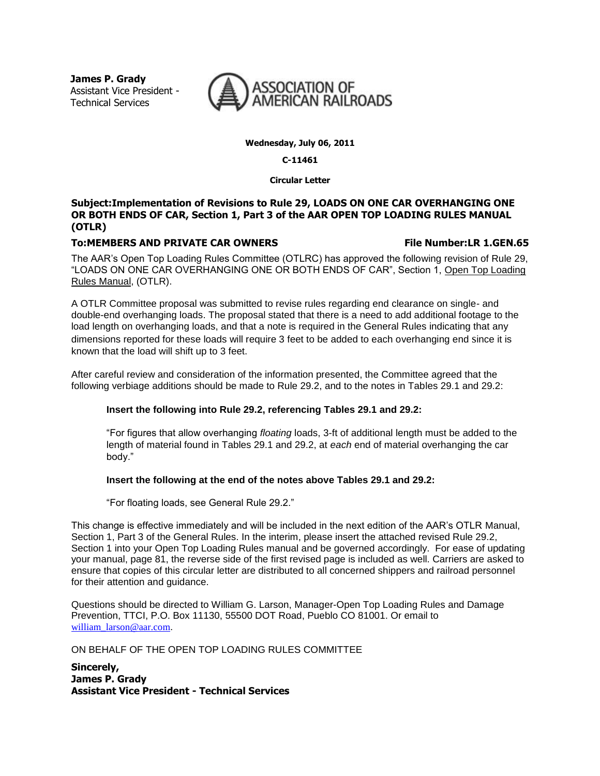**James P. Grady** Assistant Vice President - Technical Services



**Wednesday, July 06, 2011**

#### **C-11461**

**Circular Letter**

#### **Subject:Implementation of Revisions to Rule 29, LOADS ON ONE CAR OVERHANGING ONE OR BOTH ENDS OF CAR, Section 1, Part 3 of the AAR OPEN TOP LOADING RULES MANUAL (OTLR)**

#### **To:MEMBERS AND PRIVATE CAR OWNERS File Number:LR 1.GEN.65**

The AAR's Open Top Loading Rules Committee (OTLRC) has approved the following revision of Rule 29, "LOADS ON ONE CAR OVERHANGING ONE OR BOTH ENDS OF CAR", Section 1, Open Top Loading Rules Manual, (OTLR).

A OTLR Committee proposal was submitted to revise rules regarding end clearance on single- and double-end overhanging loads. The proposal stated that there is a need to add additional footage to the load length on overhanging loads, and that a note is required in the General Rules indicating that any dimensions reported for these loads will require 3 feet to be added to each overhanging end since it is known that the load will shift up to 3 feet.

After careful review and consideration of the information presented, the Committee agreed that the following verbiage additions should be made to Rule 29.2, and to the notes in Tables 29.1 and 29.2:

#### **Insert the following into Rule 29.2, referencing Tables 29.1 and 29.2:**

"For figures that allow overhanging *floating* loads, 3-ft of additional length must be added to the length of material found in Tables 29.1 and 29.2, at *each* end of material overhanging the car body."

#### **Insert the following at the end of the notes above Tables 29.1 and 29.2:**

"For floating loads, see General Rule 29.2."

This change is effective immediately and will be included in the next edition of the AAR's OTLR Manual, Section 1, Part 3 of the General Rules. In the interim, please insert the attached revised Rule 29.2, Section 1 into your Open Top Loading Rules manual and be governed accordingly. For ease of updating your manual, page 81, the reverse side of the first revised page is included as well. Carriers are asked to ensure that copies of this circular letter are distributed to all concerned shippers and railroad personnel for their attention and guidance.

Questions should be directed to William G. Larson, Manager-Open Top Loading Rules and Damage Prevention, TTCI, P.O. Box 11130, 55500 DOT Road, Pueblo CO 81001. Or email to william\_larson@aar.com.

ON BEHALF OF THE OPEN TOP LOADING RULES COMMITTEE

**Sincerely, James P. Grady Assistant Vice President - Technical Services**